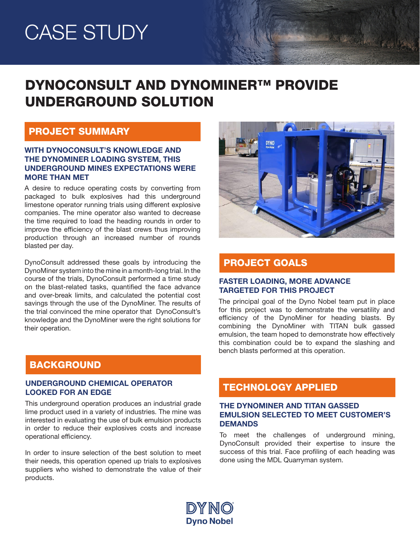# CASE STUDY

# DYNOCONSULT AND DYNOMINER™ PROVIDE UNDERGROUND SOLUTION

### PROJECT SUMMARY

#### WITH DYNOCONSULT'S KNOWLEDGE AND THE DYNOMINER LOADING SYSTEM, THIS UNDERGROUND MINES EXPECTATIONS WERE MORE THAN MET

A desire to reduce operating costs by converting from packaged to bulk explosives had this underground limestone operator running trials using different explosive companies. The mine operator also wanted to decrease the time required to load the heading rounds in order to improve the efficiency of the blast crews thus improving production through an increased number of rounds blasted per day.

DynoConsult addressed these goals by introducing the DynoMiner system into the mine in a month-long trial. In the course of the trials, DynoConsult performed a time study on the blast-related tasks, quantified the face advance and over-break limits, and calculated the potential cost savings through the use of the DynoMiner. The results of the trial convinced the mine operator that DynoConsult's knowledge and the DynoMiner were the right solutions for their operation.



Maria Carried

# PROJECT GOALS

#### FASTER LOADING, MORE ADVANCE TARGETED FOR THIS PROJECT

The principal goal of the Dyno Nobel team put in place for this project was to demonstrate the versatility and efficiency of the DynoMiner for heading blasts. By combining the DynoMiner with TITAN bulk gassed emulsion, the team hoped to demonstrate how effectively this combination could be to expand the slashing and bench blasts performed at this operation.

# BACKGROUND

#### UNDERGROUND CHEMICAL OPERATOR UNDERGROUND CHEMICAL OPERATOR **TECHNOLOGY APPLIED**

This underground operation produces an industrial grade lime product used in a variety of industries. The mine was interested in evaluating the use of bulk emulsion products in order to reduce their explosives costs and increase operational efficiency.

In order to insure selection of the best solution to meet their needs, this operation opened up trials to explosives suppliers who wished to demonstrate the value of their products.

### THE DYNOMINER AND TITAN GASSED EMULSION SELECTED TO MEET CUSTOMER'S DEMANDS

To meet the challenges of underground mining, DynoConsult provided their expertise to insure the success of this trial. Face profiling of each heading was done using the MDL Quarryman system.